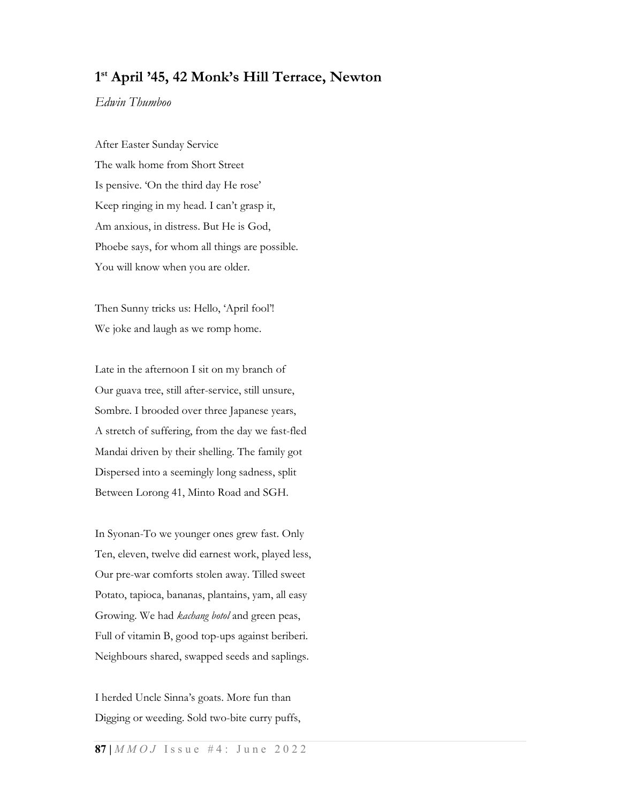# 1 st April '45, 42 Monk's Hill Terrace, Newton

Edwin Thumboo

After Easter Sunday Service The walk home from Short Street Is pensive. 'On the third day He rose' Keep ringing in my head. I can't grasp it, Am anxious, in distress. But He is God, Phoebe says, for whom all things are possible. You will know when you are older.

Then Sunny tricks us: Hello, 'April fool'! We joke and laugh as we romp home.

Late in the afternoon I sit on my branch of Our guava tree, still after-service, still unsure, Sombre. I brooded over three Japanese years, A stretch of suffering, from the day we fast-fled Mandai driven by their shelling. The family got Dispersed into a seemingly long sadness, split Between Lorong 41, Minto Road and SGH.

In Syonan-To we younger ones grew fast. Only Ten, eleven, twelve did earnest work, played less, Our pre-war comforts stolen away. Tilled sweet Potato, tapioca, bananas, plantains, yam, all easy Growing. We had kachang botol and green peas, Full of vitamin B, good top-ups against beriberi. Neighbours shared, swapped seeds and saplings.

I herded Uncle Sinna's goats. More fun than Digging or weeding. Sold two-bite curry puffs,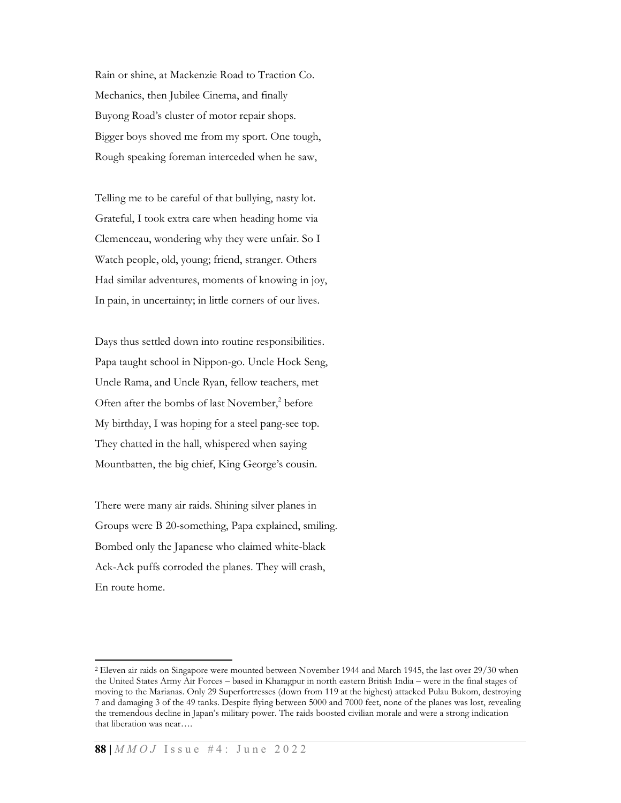Rain or shine, at Mackenzie Road to Traction Co. Mechanics, then Jubilee Cinema, and finally Buyong Road's cluster of motor repair shops. Bigger boys shoved me from my sport. One tough, Rough speaking foreman interceded when he saw,

Telling me to be careful of that bullying, nasty lot. Grateful, I took extra care when heading home via Clemenceau, wondering why they were unfair. So I Watch people, old, young; friend, stranger. Others Had similar adventures, moments of knowing in joy, In pain, in uncertainty; in little corners of our lives.

Days thus settled down into routine responsibilities. Papa taught school in Nippon-go. Uncle Hock Seng, Uncle Rama, and Uncle Ryan, fellow teachers, met Often after the bombs of last November,<sup>2</sup> before My birthday, I was hoping for a steel pang-see top. They chatted in the hall, whispered when saying Mountbatten, the big chief, King George's cousin.

There were many air raids. Shining silver planes in Groups were B 20-something, Papa explained, smiling. Bombed only the Japanese who claimed white-black Ack-Ack puffs corroded the planes. They will crash, En route home.

<sup>2</sup> Eleven air raids on Singapore were mounted between November 1944 and March 1945, the last over 29/30 when the United States Army Air Forces – based in Kharagpur in north eastern British India – were in the final stages of moving to the Marianas. Only 29 Superfortresses (down from 119 at the highest) attacked Pulau Bukom, destroying 7 and damaging 3 of the 49 tanks. Despite flying between 5000 and 7000 feet, none of the planes was lost, revealing the tremendous decline in Japan's military power. The raids boosted civilian morale and were a strong indication that liberation was near….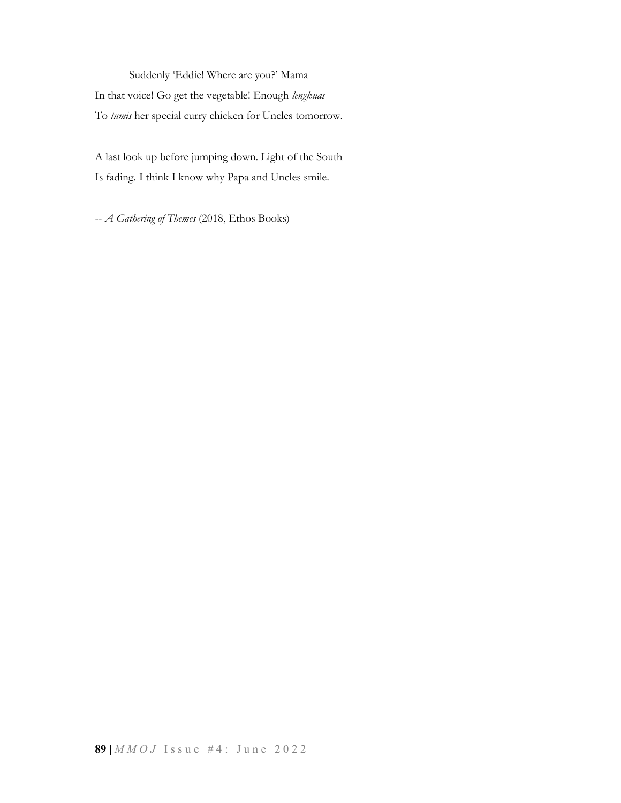Suddenly 'Eddie! Where are you?' Mama In that voice! Go get the vegetable! Enough lengkuas To tumis her special curry chicken for Uncles tomorrow.

A last look up before jumping down. Light of the South Is fading. I think I know why Papa and Uncles smile.

-- A Gathering of Themes (2018, Ethos Books)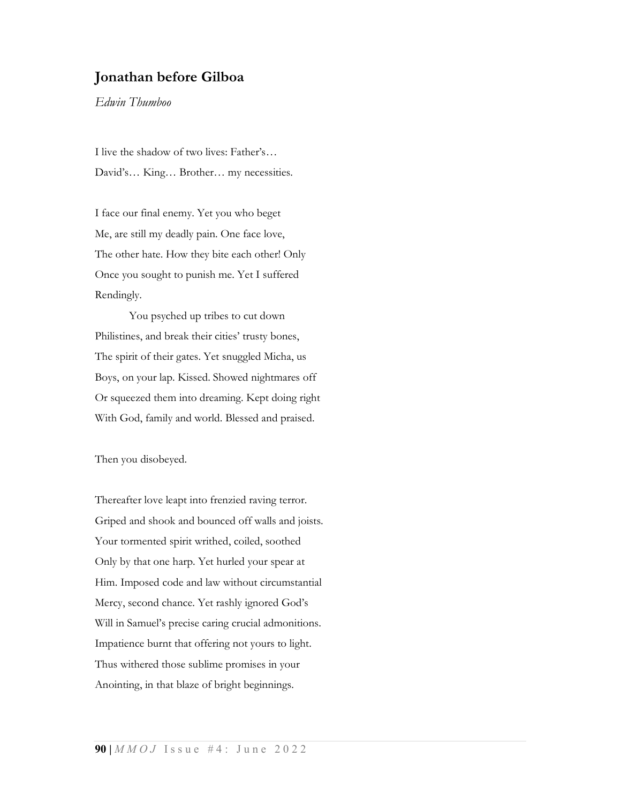## Jonathan before Gilboa

Edwin Thumboo

I live the shadow of two lives: Father's… David's… King… Brother… my necessities.

I face our final enemy. Yet you who beget Me, are still my deadly pain. One face love, The other hate. How they bite each other! Only Once you sought to punish me. Yet I suffered Rendingly.

 You psyched up tribes to cut down Philistines, and break their cities' trusty bones, The spirit of their gates. Yet snuggled Micha, us Boys, on your lap. Kissed. Showed nightmares off Or squeezed them into dreaming. Kept doing right With God, family and world. Blessed and praised.

Then you disobeyed.

Thereafter love leapt into frenzied raving terror. Griped and shook and bounced off walls and joists. Your tormented spirit writhed, coiled, soothed Only by that one harp. Yet hurled your spear at Him. Imposed code and law without circumstantial Mercy, second chance. Yet rashly ignored God's Will in Samuel's precise caring crucial admonitions. Impatience burnt that offering not yours to light. Thus withered those sublime promises in your Anointing, in that blaze of bright beginnings.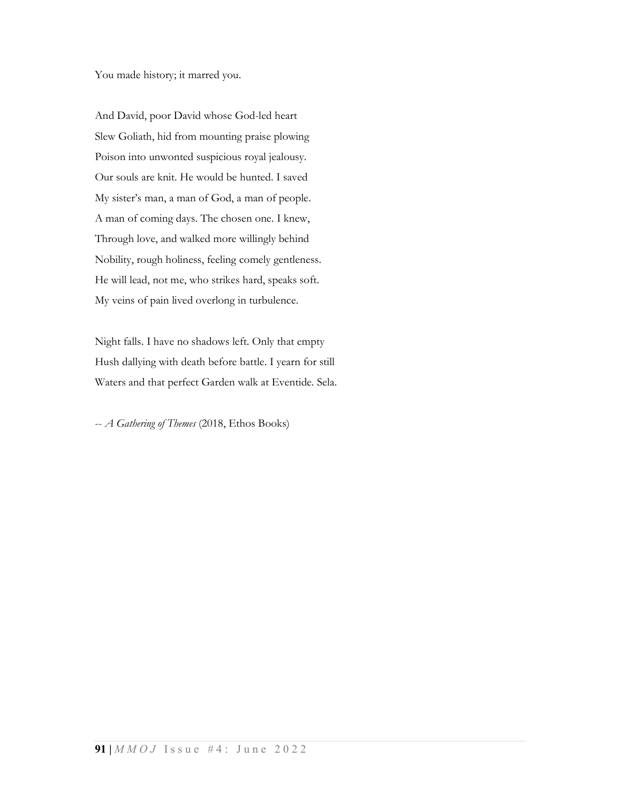You made history; it marred you.

And David, poor David whose God-led heart Slew Goliath, hid from mounting praise plowing Poison into unwonted suspicious royal jealousy. Our souls are knit. He would be hunted. I saved My sister's man, a man of God, a man of people. A man of coming days. The chosen one. I knew, Through love, and walked more willingly behind Nobility, rough holiness, feeling comely gentleness. He will lead, not me, who strikes hard, speaks soft. My veins of pain lived overlong in turbulence.

Night falls. I have no shadows left. Only that empty Hush dallying with death before battle. I yearn for still Waters and that perfect Garden walk at Eventide. Sela.

-- A Gathering of Themes (2018, Ethos Books)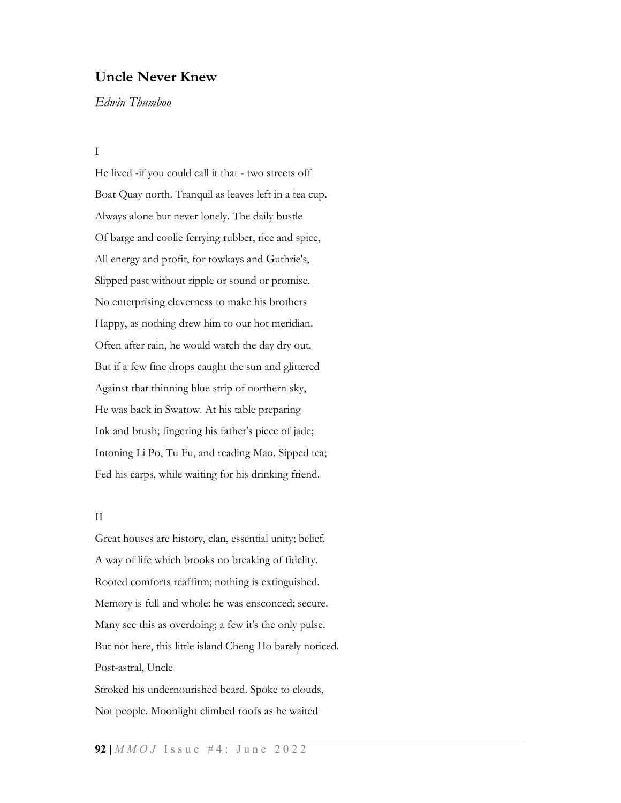### Uncle Never Knew

Edwin Thumboo

#### I

He lived -if you could call it that - two streets off Boat Quay north. Tranquil as leaves left in a tea cup. Always alone but never lonely. The daily bustle Of barge and coolie ferrying rubber, rice and spice, All energy and profit, for towkays and Guthrie's, Slipped past without ripple or sound or promise. No enterprising cleverness to make his brothers Happy, as nothing drew him to our hot meridian. Often after rain, he would watch the day dry out. But if a few fine drops caught the sun and glittered Against that thinning blue strip of northern sky, He was back in Swatow. At his table preparing Ink and brush; fingering his father's piece of jade; Intoning Li Po, Tu Fu, and reading Mao. Sipped tea; Fed his carps, while waiting for his drinking friend.

#### II

Great houses are history, clan, essential unity; belief. A way of life which brooks no breaking of fidelity. Rooted comforts reaffirm; nothing is extinguished. Memory is full and whole: he was ensconced; secure. Many see this as overdoing; a few it's the only pulse. But not here, this little island Cheng Ho barely noticed. Post-astral, Uncle

Stroked his undernourished beard. Spoke to clouds, Not people. Moonlight climbed roofs as he waited